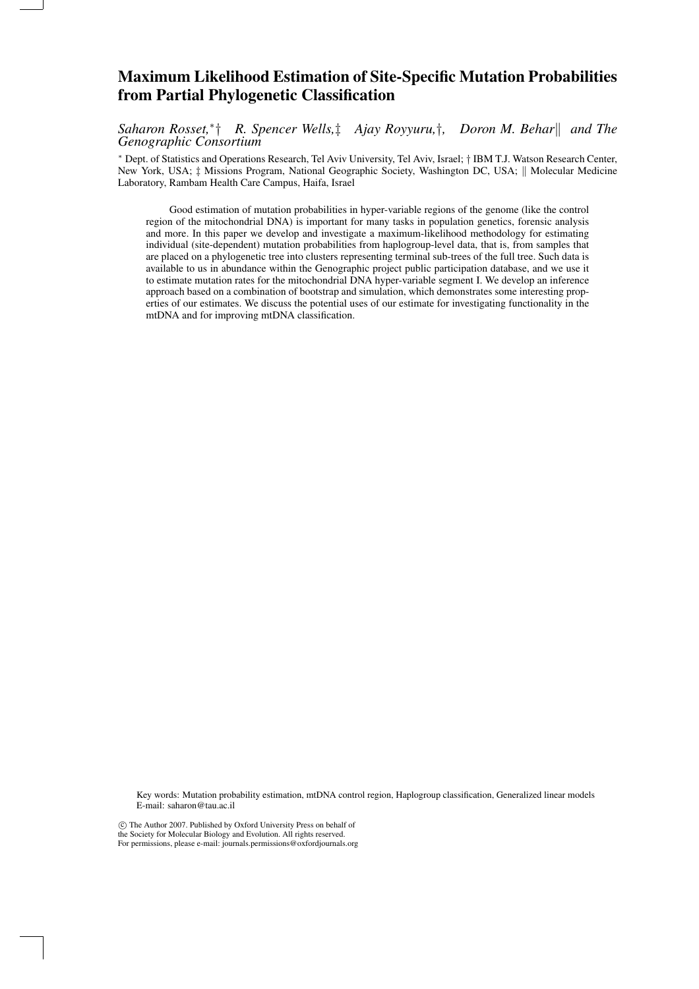# Maximum Likelihood Estimation of Site-Specific Mutation Probabilities from Partial Phylogenetic Classification

*Saharon Rosset,*<sup>∗</sup> † *R. Spencer Wells,*‡ *Ajay Royyuru,*†*, Doron M. Behar*k *and The Genographic Consortium*

<sup>∗</sup> Dept. of Statistics and Operations Research, Tel Aviv University, Tel Aviv, Israel; † IBM T.J. Watson Research Center, New York, USA;  $\ddagger$  Missions Program, National Geographic Society, Washington DC, USA; || Molecular Medicine Laboratory, Rambam Health Care Campus, Haifa, Israel

Good estimation of mutation probabilities in hyper-variable regions of the genome (like the control region of the mitochondrial DNA) is important for many tasks in population genetics, forensic analysis and more. In this paper we develop and investigate a maximum-likelihood methodology for estimating individual (site-dependent) mutation probabilities from haplogroup-level data, that is, from samples that are placed on a phylogenetic tree into clusters representing terminal sub-trees of the full tree. Such data is available to us in abundance within the Genographic project public participation database, and we use it to estimate mutation rates for the mitochondrial DNA hyper-variable segment I. We develop an inference approach based on a combination of bootstrap and simulation, which demonstrates some interesting properties of our estimates. We discuss the potential uses of our estimate for investigating functionality in the mtDNA and for improving mtDNA classification.

Key words: Mutation probability estimation, mtDNA control region, Haplogroup classification, Generalized linear models E-mail: saharon@tau.ac.il

°c The Author 2007. Published by Oxford University Press on behalf of

the Society for Molecular Biology and Evolution. All rights reserved.

For permissions, please e-mail: journals.permissions@oxfordjournals.org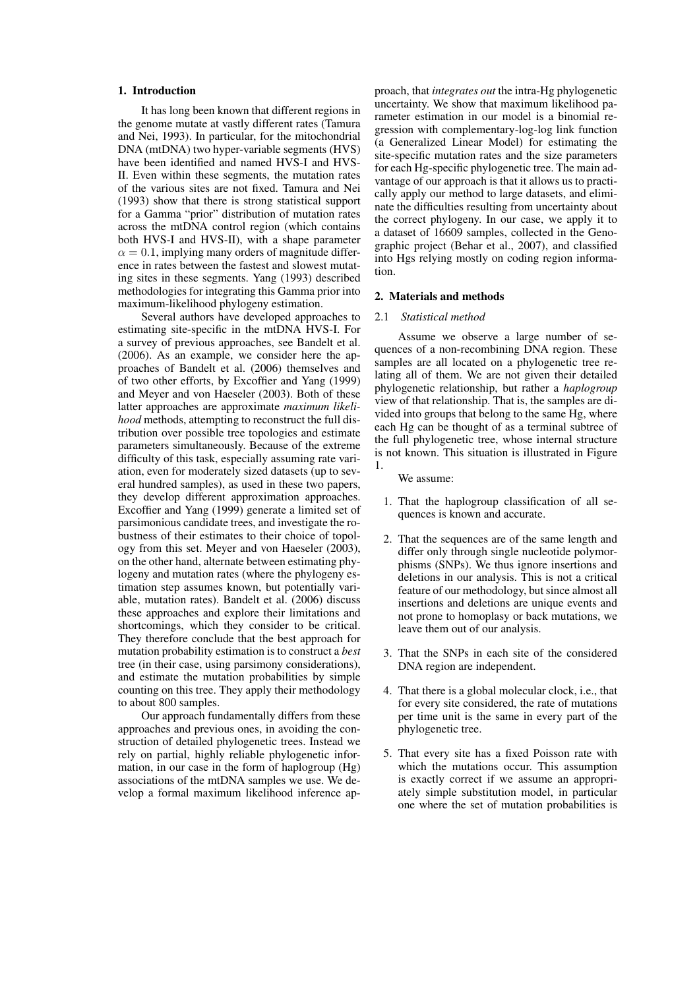## 1. Introduction

It has long been known that different regions in the genome mutate at vastly different rates (Tamura and Nei, 1993). In particular, for the mitochondrial DNA (mtDNA) two hyper-variable segments (HVS) have been identified and named HVS-I and HVS-II. Even within these segments, the mutation rates of the various sites are not fixed. Tamura and Nei (1993) show that there is strong statistical support for a Gamma "prior" distribution of mutation rates across the mtDNA control region (which contains both HVS-I and HVS-II), with a shape parameter  $\alpha = 0.1$ , implying many orders of magnitude difference in rates between the fastest and slowest mutating sites in these segments. Yang (1993) described methodologies for integrating this Gamma prior into maximum-likelihood phylogeny estimation.

Several authors have developed approaches to estimating site-specific in the mtDNA HVS-I. For a survey of previous approaches, see Bandelt et al. (2006). As an example, we consider here the approaches of Bandelt et al. (2006) themselves and of two other efforts, by Excoffier and Yang (1999) and Meyer and von Haeseler (2003). Both of these latter approaches are approximate *maximum likelihood* methods, attempting to reconstruct the full distribution over possible tree topologies and estimate parameters simultaneously. Because of the extreme difficulty of this task, especially assuming rate variation, even for moderately sized datasets (up to several hundred samples), as used in these two papers, they develop different approximation approaches. Excoffier and Yang (1999) generate a limited set of parsimonious candidate trees, and investigate the robustness of their estimates to their choice of topology from this set. Meyer and von Haeseler (2003), on the other hand, alternate between estimating phylogeny and mutation rates (where the phylogeny estimation step assumes known, but potentially variable, mutation rates). Bandelt et al. (2006) discuss these approaches and explore their limitations and shortcomings, which they consider to be critical. They therefore conclude that the best approach for mutation probability estimation is to construct a *best* tree (in their case, using parsimony considerations), and estimate the mutation probabilities by simple counting on this tree. They apply their methodology to about 800 samples.

Our approach fundamentally differs from these approaches and previous ones, in avoiding the construction of detailed phylogenetic trees. Instead we rely on partial, highly reliable phylogenetic information, in our case in the form of haplogroup (Hg) associations of the mtDNA samples we use. We develop a formal maximum likelihood inference ap-

proach, that *integrates out* the intra-Hg phylogenetic uncertainty. We show that maximum likelihood parameter estimation in our model is a binomial regression with complementary-log-log link function (a Generalized Linear Model) for estimating the site-specific mutation rates and the size parameters for each Hg-specific phylogenetic tree. The main advantage of our approach is that it allows us to practically apply our method to large datasets, and eliminate the difficulties resulting from uncertainty about the correct phylogeny. In our case, we apply it to a dataset of 16609 samples, collected in the Genographic project (Behar et al., 2007), and classified into Hgs relying mostly on coding region information.

## 2. Materials and methods

# 2.1 *Statistical method*

Assume we observe a large number of sequences of a non-recombining DNA region. These samples are all located on a phylogenetic tree relating all of them. We are not given their detailed phylogenetic relationship, but rather a *haplogroup* view of that relationship. That is, the samples are divided into groups that belong to the same Hg, where each Hg can be thought of as a terminal subtree of the full phylogenetic tree, whose internal structure is not known. This situation is illustrated in Figure 1.

We assume:

- 1. That the haplogroup classification of all sequences is known and accurate.
- 2. That the sequences are of the same length and differ only through single nucleotide polymorphisms (SNPs). We thus ignore insertions and deletions in our analysis. This is not a critical feature of our methodology, but since almost all insertions and deletions are unique events and not prone to homoplasy or back mutations, we leave them out of our analysis.
- 3. That the SNPs in each site of the considered DNA region are independent.
- 4. That there is a global molecular clock, i.e., that for every site considered, the rate of mutations per time unit is the same in every part of the phylogenetic tree.
- 5. That every site has a fixed Poisson rate with which the mutations occur. This assumption is exactly correct if we assume an appropriately simple substitution model, in particular one where the set of mutation probabilities is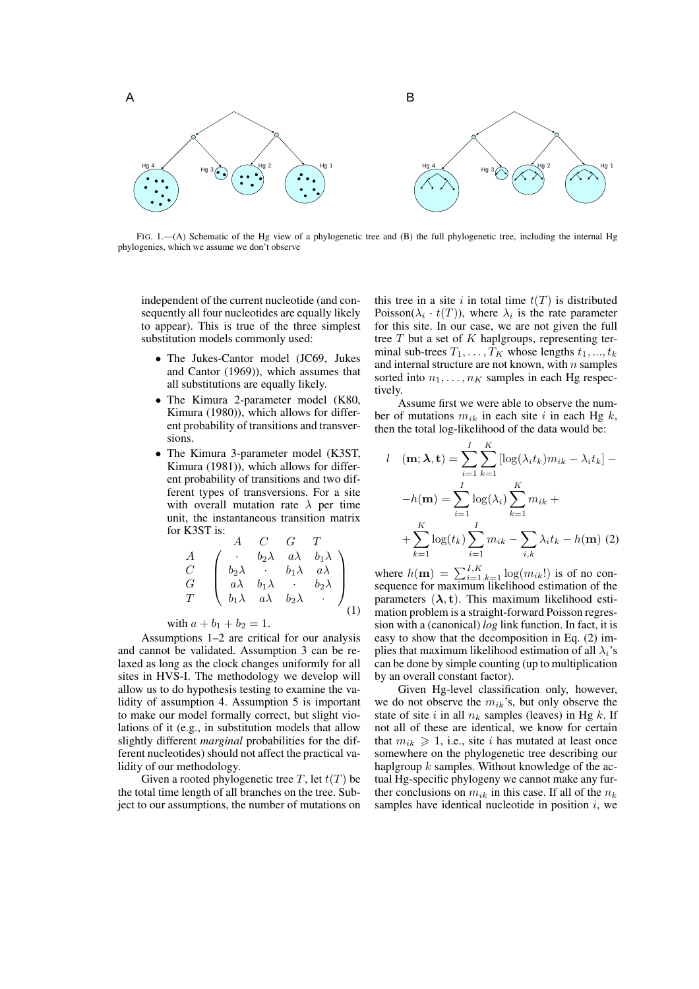

FIG. 1.—(A) Schematic of the Hg view of a phylogenetic tree and (B) the full phylogenetic tree, including the internal Hg phylogenies, which we assume we don't observe

independent of the current nucleotide (and consequently all four nucleotides are equally likely to appear). This is true of the three simplest substitution models commonly used:

- The Jukes-Cantor model (JC69, Jukes and Cantor (1969)), which assumes that all substitutions are equally likely.
- The Kimura 2-parameter model (K80, Kimura (1980)), which allows for different probability of transitions and transversions.
- The Kimura 3-parameter model (K3ST, Kimura (1981)), which allows for different probability of transitions and two different types of transversions. For a site with overall mutation rate  $\lambda$  per time unit, the instantaneous transition matrix for K3ST is:

$$
\begin{array}{ccccc}\nA & C & G & T \\
C & & b_2\lambda & a\lambda & b_1\lambda \\
C & & b_2\lambda & b_1\lambda & a\lambda \\
G & & a\lambda & b_1\lambda & b_2\lambda \\
T & & b_1\lambda & a\lambda & b_2\lambda\n\end{array}
$$

with  $a + b_1 + b_2 = 1$ .

Assumptions 1–2 are critical for our analysis and cannot be validated. Assumption 3 can be relaxed as long as the clock changes uniformly for all sites in HVS-I. The methodology we develop will allow us to do hypothesis testing to examine the validity of assumption 4. Assumption 5 is important to make our model formally correct, but slight violations of it (e.g., in substitution models that allow slightly different *marginal* probabilities for the different nucleotides) should not affect the practical validity of our methodology.

Given a rooted phylogenetic tree T, let  $t(T)$  be the total time length of all branches on the tree. Subject to our assumptions, the number of mutations on this tree in a site i in total time  $t(T)$  is distributed Poisson( $\lambda_i \cdot t(T)$ ), where  $\lambda_i$  is the rate parameter for this site. In our case, we are not given the full tree  $T$  but a set of  $K$  haplgroups, representing terminal sub-trees  $T_1, \ldots, T_K$  whose lengths  $t_1, \ldots, t_k$ and internal structure are not known, with  $n$  samples sorted into  $n_1, \ldots, n_K$  samples in each Hg respectively.

Assume first we were able to observe the number of mutations  $m_{ik}$  in each site i in each Hg k, then the total log-likelihood of the data would be:

$$
l \quad (\mathbf{m}; \lambda, \mathbf{t}) = \sum_{i=1}^{I} \sum_{k=1}^{K} [\log(\lambda_i t_k) m_{ik} - \lambda_i t_k] -
$$

$$
-h(\mathbf{m}) = \sum_{i=1}^{I} \log(\lambda_i) \sum_{k=1}^{K} m_{ik} +
$$

$$
+ \sum_{k=1}^{K} \log(t_k) \sum_{i=1}^{I} m_{ik} - \sum_{i,k} \lambda_i t_k - h(\mathbf{m}) \tag{2}
$$

where  $h(\mathbf{m}) = \sum_{i=1, k=1}^{I, K} \log(m_{ik}!)$  is of no consequence for maximum likelihood estimation of the parameters  $(\lambda, t)$ . This maximum likelihood estimation problem is a straight-forward Poisson regression with a (canonical) *log* link function. In fact, it is easy to show that the decomposition in Eq. (2) implies that maximum likelihood estimation of all  $\lambda_i$ 's can be done by simple counting (up to multiplication by an overall constant factor).

Given Hg-level classification only, however, we do not observe the  $m_{ik}$ 's, but only observe the state of site i in all  $n_k$  samples (leaves) in Hg k. If not all of these are identical, we know for certain that  $m_{ik} \geq 1$ , i.e., site i has mutated at least once somewhere on the phylogenetic tree describing our haplgroup  $k$  samples. Without knowledge of the actual Hg-specific phylogeny we cannot make any further conclusions on  $m_{ik}$  in this case. If all of the  $n_k$ samples have identical nucleotide in position  $i$ , we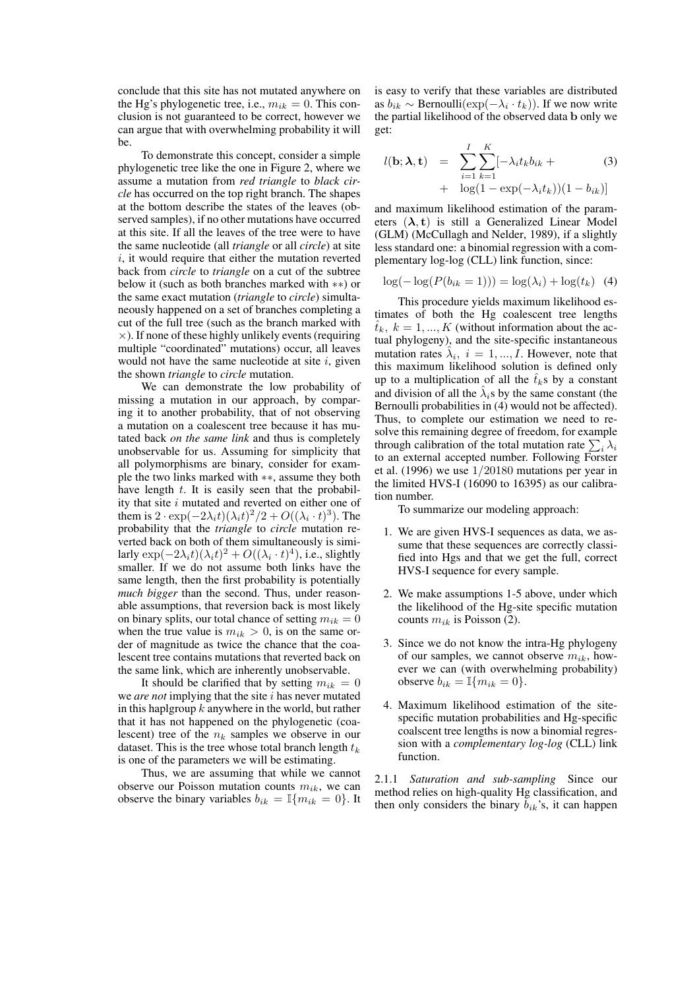conclude that this site has not mutated anywhere on the Hg's phylogenetic tree, i.e.,  $m_{ik} = 0$ . This conclusion is not guaranteed to be correct, however we can argue that with overwhelming probability it will be.

To demonstrate this concept, consider a simple phylogenetic tree like the one in Figure 2, where we assume a mutation from *red triangle* to *black circle* has occurred on the top right branch. The shapes at the bottom describe the states of the leaves (observed samples), if no other mutations have occurred at this site. If all the leaves of the tree were to have the same nucleotide (all *triangle* or all *circle*) at site  $i$ , it would require that either the mutation reverted back from *circle* to *triangle* on a cut of the subtree below it (such as both branches marked with ∗∗) or the same exact mutation (*triangle* to *circle*) simultaneously happened on a set of branches completing a cut of the full tree (such as the branch marked with  $\times$ ). If none of these highly unlikely events (requiring multiple "coordinated" mutations) occur, all leaves would not have the same nucleotide at site  $i$ , given the shown *triangle* to *circle* mutation.

We can demonstrate the low probability of missing a mutation in our approach, by comparing it to another probability, that of not observing a mutation on a coalescent tree because it has mutated back *on the same link* and thus is completely unobservable for us. Assuming for simplicity that all polymorphisms are binary, consider for example the two links marked with ∗∗, assume they both have length  $t$ . It is easily seen that the probability that site  $i$  mutated and reverted on either one of them is  $2 \cdot \exp(-2\lambda_i t)(\lambda_i t)^2/2 + O((\lambda_i \cdot t)^3)$ . The probability that the *triangle* to *circle* mutation reverted back on both of them simultaneously is similarly  $\exp(-2\lambda_i t)(\lambda_i t)^2 + O((\lambda_i \cdot t)^4)$ , i.e., slightly smaller. If we do not assume both links have the same length, then the first probability is potentially *much bigger* than the second. Thus, under reasonable assumptions, that reversion back is most likely on binary splits, our total chance of setting  $m_{ik} = 0$ when the true value is  $m_{ik} > 0$ , is on the same order of magnitude as twice the chance that the coalescent tree contains mutations that reverted back on the same link, which are inherently unobservable.

It should be clarified that by setting  $m_{ik} = 0$ we *are not* implying that the site *i* has never mutated in this haplgroup  $k$  anywhere in the world, but rather that it has not happened on the phylogenetic (coalescent) tree of the  $n_k$  samples we observe in our dataset. This is the tree whose total branch length  $t_k$ is one of the parameters we will be estimating.

Thus, we are assuming that while we cannot observe our Poisson mutation counts  $m_{ik}$ , we can observe the binary variables  $b_{ik} = \mathbb{I}\{m_{ik} = 0\}$ . It

is easy to verify that these variables are distributed as  $b_{ik} \sim \text{Bernoulli}(\exp(-\lambda_i \cdot t_k))$ . If we now write the partial likelihood of the observed data b only we get:

$$
l(\mathbf{b}; \boldsymbol{\lambda}, \mathbf{t}) = \sum_{i=1}^{I} \sum_{k=1}^{K} [-\lambda_i t_k b_{ik} + (3) + \log(1 - \exp(-\lambda_i t_k)) (1 - b_{ik})]
$$

and maximum likelihood estimation of the parameters  $(\lambda, t)$  is still a Generalized Linear Model (GLM) (McCullagh and Nelder, 1989), if a slightly less standard one: a binomial regression with a complementary log-log (CLL) link function, since:

$$
\log(-\log(P(b_{ik}=1))) = \log(\lambda_i) + \log(t_k) \quad (4)
$$

This procedure yields maximum likelihood estimates of both the Hg coalescent tree lengths  $\hat{t}_k, k = 1, ..., K$  (without information about the actual phylogeny), and the site-specific instantaneous mutation rates  $\hat{\lambda}_i$ ,  $i = 1, ..., I$ . However, note that this maximum likelihood solution is defined only up to a multiplication of all the  $\hat{t}_k$ s by a constant and division of all the  $\hat{\lambda}_i$ s by the same constant (the Bernoulli probabilities in (4) would not be affected). Thus, to complete our estimation we need to resolve this remaining degree of freedom, for example solve this remaining degree of freedom, for example<br>through calibration of the total mutation rate  $\sum_i \lambda_i$ to an external accepted number. Following Forster et al. (1996) we use 1/20180 mutations per year in the limited HVS-I (16090 to 16395) as our calibration number.

To summarize our modeling approach:

- 1. We are given HVS-I sequences as data, we assume that these sequences are correctly classified into Hgs and that we get the full, correct HVS-I sequence for every sample.
- 2. We make assumptions 1-5 above, under which the likelihood of the Hg-site specific mutation counts  $m_{ik}$  is Poisson (2).
- 3. Since we do not know the intra-Hg phylogeny of our samples, we cannot observe  $m_{ik}$ , however we can (with overwhelming probability) observe  $b_{ik} = \mathbb{I}\{m_{ik} = 0\}.$
- 4. Maximum likelihood estimation of the sitespecific mutation probabilities and Hg-specific coalscent tree lengths is now a binomial regression with a *complementary log-log* (CLL) link function.

2.1.1 *Saturation and sub-sampling* Since our method relies on high-quality Hg classification, and then only considers the binary  $b_{ik}$ 's, it can happen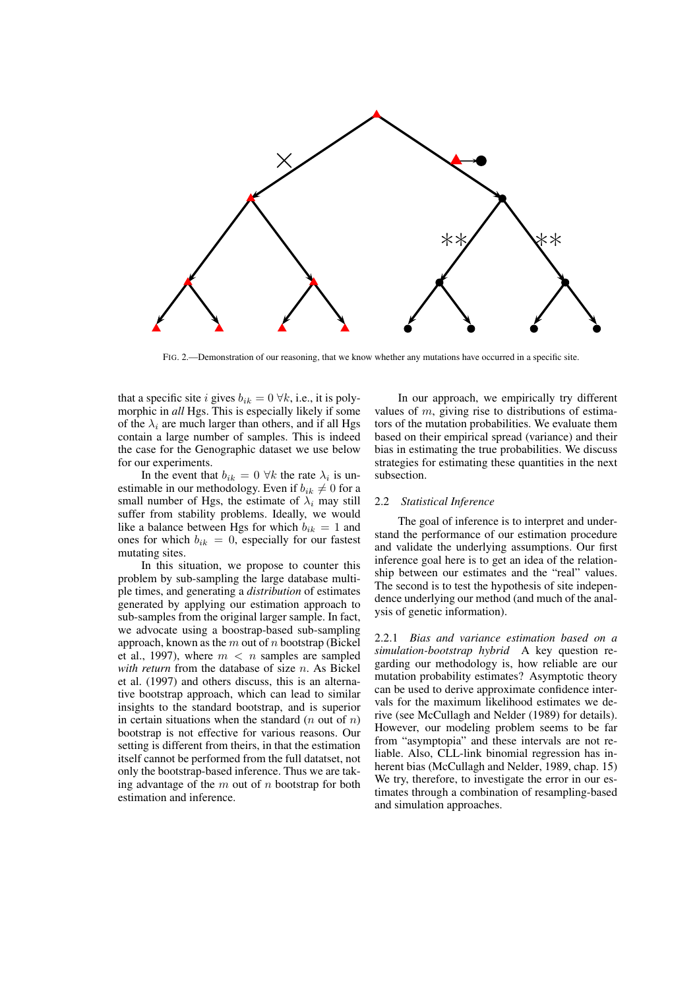

FIG. 2.—Demonstration of our reasoning, that we know whether any mutations have occurred in a specific site.

that a specific site i gives  $b_{ik} = 0 \ \forall k$ , i.e., it is polymorphic in *all* Hgs. This is especially likely if some of the  $\lambda_i$  are much larger than others, and if all Hgs contain a large number of samples. This is indeed the case for the Genographic dataset we use below for our experiments.

In the event that  $b_{ik} = 0 \ \forall k$  the rate  $\lambda_i$  is unestimable in our methodology. Even if  $b_{ik} \neq 0$  for a small number of Hgs, the estimate of  $\lambda_i$  may still suffer from stability problems. Ideally, we would like a balance between Hgs for which  $b_{ik} = 1$  and ones for which  $b_{ik} = 0$ , especially for our fastest mutating sites.

et al., 1997), where  $m < n$  samples are sampled<br>with return from the database of size n. As Bickel In this situation, we propose to counter this problem by sub-sampling the large database multiple times, and generating a *distribution* of estimates generated by applying our estimation approach to sub-samples from the original larger sample. In fact, we advocate using a boostrap-based sub-sampling approach, known as the  $m$  out of  $n$  bootstrap (Bickel et al., 1997), where  $m < n$  samples are sampled et al. (1997) and others discuss, this is an alternative bootstrap approach, which can lead to similar insights to the standard bootstrap, and is superior in certain situations when the standard  $(n$  out of  $n)$ bootstrap is not effective for various reasons. Our setting is different from theirs, in that the estimation itself cannot be performed from the full datatset, not only the bootstrap-based inference. Thus we are taking advantage of the  $m$  out of  $n$  bootstrap for both estimation and inference.

In our approach, we empirically try different values of  $m$ , giving rise to distributions of estimators of the mutation probabilities. We evaluate them based on their empirical spread (variance) and their bias in estimating the true probabilities. We discuss strategies for estimating these quantities in the next subsection.

# 2.2 *Statistical Inference*

The goal of inference is to interpret and understand the performance of our estimation procedure and validate the underlying assumptions. Our first inference goal here is to get an idea of the relationship between our estimates and the "real" values. The second is to test the hypothesis of site independence underlying our method (and much of the analysis of genetic information).

2.2.1 *Bias and variance estimation based on a simulation-bootstrap hybrid* A key question regarding our methodology is, how reliable are our mutation probability estimates? Asymptotic theory can be used to derive approximate confidence intervals for the maximum likelihood estimates we derive (see McCullagh and Nelder (1989) for details). However, our modeling problem seems to be far from "asymptopia" and these intervals are not reliable. Also, CLL-link binomial regression has inherent bias (McCullagh and Nelder, 1989, chap. 15) We try, therefore, to investigate the error in our estimates through a combination of resampling-based and simulation approaches.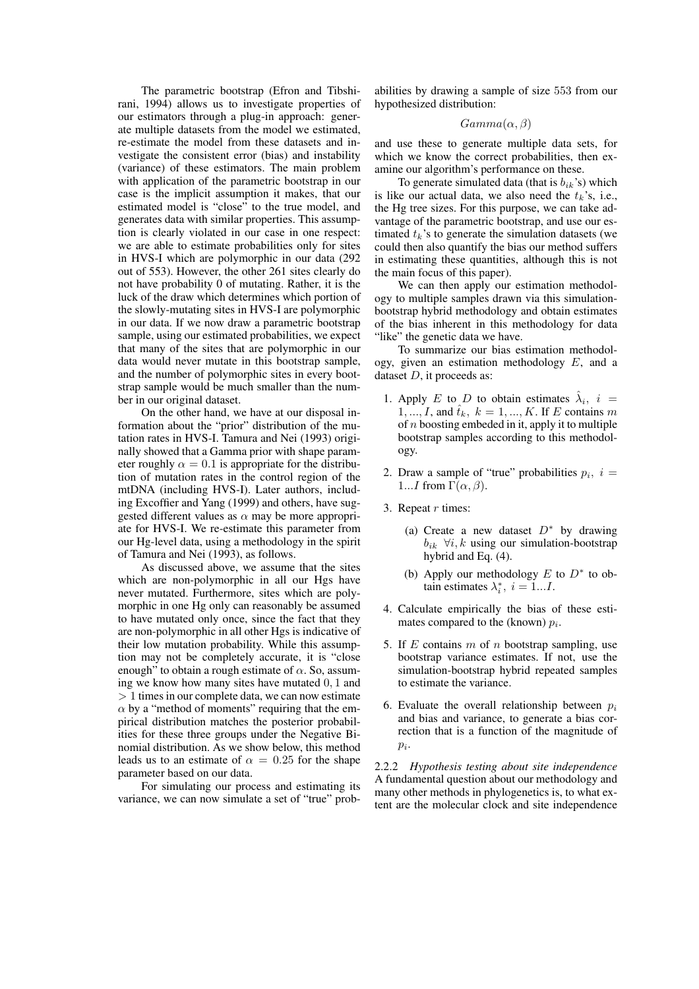The parametric bootstrap (Efron and Tibshirani, 1994) allows us to investigate properties of our estimators through a plug-in approach: generate multiple datasets from the model we estimated, re-estimate the model from these datasets and investigate the consistent error (bias) and instability (variance) of these estimators. The main problem with application of the parametric bootstrap in our case is the implicit assumption it makes, that our estimated model is "close" to the true model, and generates data with similar properties. This assumption is clearly violated in our case in one respect: we are able to estimate probabilities only for sites in HVS-I which are polymorphic in our data (292 out of 553). However, the other 261 sites clearly do not have probability 0 of mutating. Rather, it is the luck of the draw which determines which portion of the slowly-mutating sites in HVS-I are polymorphic in our data. If we now draw a parametric bootstrap sample, using our estimated probabilities, we expect that many of the sites that are polymorphic in our data would never mutate in this bootstrap sample, and the number of polymorphic sites in every bootstrap sample would be much smaller than the number in our original dataset.

On the other hand, we have at our disposal information about the "prior" distribution of the mutation rates in HVS-I. Tamura and Nei (1993) originally showed that a Gamma prior with shape parameter roughly  $\alpha = 0.1$  is appropriate for the distribution of mutation rates in the control region of the mtDNA (including HVS-I). Later authors, including Excoffier and Yang (1999) and others, have suggested different values as  $\alpha$  may be more appropriate for HVS-I. We re-estimate this parameter from our Hg-level data, using a methodology in the spirit of Tamura and Nei (1993), as follows.

As discussed above, we assume that the sites which are non-polymorphic in all our Hgs have never mutated. Furthermore, sites which are polymorphic in one Hg only can reasonably be assumed to have mutated only once, since the fact that they are non-polymorphic in all other Hgs is indicative of their low mutation probability. While this assumption may not be completely accurate, it is "close enough" to obtain a rough estimate of  $\alpha$ . So, assuming we know how many sites have mutated 0, 1 and > 1 times in our complete data, we can now estimate  $\alpha$  by a "method of moments" requiring that the empirical distribution matches the posterior probabilities for these three groups under the Negative Binomial distribution. As we show below, this method leads us to an estimate of  $\alpha = 0.25$  for the shape parameter based on our data.

For simulating our process and estimating its variance, we can now simulate a set of "true" prob-

abilities by drawing a sample of size 553 from our hypothesized distribution:

# $Gamma(\alpha, \beta)$

and use these to generate multiple data sets, for which we know the correct probabilities, then examine our algorithm's performance on these.

To generate simulated data (that is  $b_{ik}$ 's) which is like our actual data, we also need the  $t_k$ 's, i.e., the Hg tree sizes. For this purpose, we can take advantage of the parametric bootstrap, and use our estimated  $t_k$ 's to generate the simulation datasets (we could then also quantify the bias our method suffers in estimating these quantities, although this is not the main focus of this paper).

We can then apply our estimation methodology to multiple samples drawn via this simulationbootstrap hybrid methodology and obtain estimates of the bias inherent in this methodology for data "like" the genetic data we have.

To summarize our bias estimation methodology, given an estimation methodology  $E$ , and a dataset  $D$ , it proceeds as:

- 1. Apply E to D to obtain estimates  $\hat{\lambda}_i$ ,  $i =$  $1, ..., I$ , and  $\hat{t}_k$ ,  $k = 1, ..., K$ . If E contains m of  $n$  boosting embeded in it, apply it to multiple bootstrap samples according to this methodology.
- 2. Draw a sample of "true" probabilities  $p_i$ ,  $i =$ 1...I from  $\Gamma(\alpha, \beta)$ .
- 3. Repeat  $r$  times:
	- (a) Create a new dataset  $D^*$  by drawing  $b_{ik}$   $\forall i, k$  using our simulation-bootstrap hybrid and Eq. (4).
	- (b) Apply our methodology  $E$  to  $D^*$  to obtain estimates  $\lambda_i^*$ ,  $i = 1...I$ .
- 4. Calculate empirically the bias of these estimates compared to the (known)  $p_i$ .
- 5. If E contains  $m$  of  $n$  bootstrap sampling, use bootstrap variance estimates. If not, use the simulation-bootstrap hybrid repeated samples to estimate the variance.
- 6. Evaluate the overall relationship between  $p_i$ and bias and variance, to generate a bias correction that is a function of the magnitude of  $p_i$ .

2.2.2 *Hypothesis testing about site independence* A fundamental question about our methodology and many other methods in phylogenetics is, to what extent are the molecular clock and site independence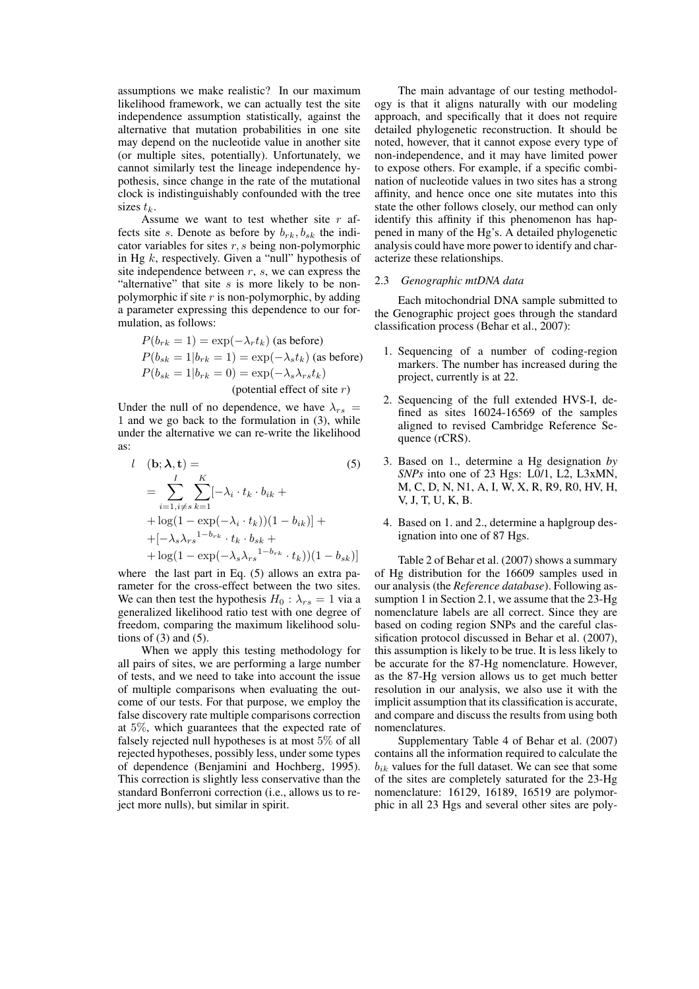assumptions we make realistic? In our maximum likelihood framework, we can actually test the site independence assumption statistically, against the alternative that mutation probabilities in one site may depend on the nucleotide value in another site (or multiple sites, potentially). Unfortunately, we cannot similarly test the lineage independence hypothesis, since change in the rate of the mutational clock is indistinguishably confounded with the tree sizes  $t_k$ .

Assume we want to test whether site  $r$  affects site s. Denote as before by  $b_{rk}$ ,  $b_{sk}$  the indicator variables for sites  $r, s$  being non-polymorphic in Hg  $k$ , respectively. Given a "null" hypothesis of site independence between  $r$ ,  $s$ , we can express the "alternative" that site  $s$  is more likely to be nonpolymorphic if site  $r$  is non-polymorphic, by adding a parameter expressing this dependence to our formulation, as follows:

$$
P(b_{rk} = 1) = \exp(-\lambda_r t_k) \text{ (as before)}
$$
  
\n
$$
P(b_{sk} = 1|b_{rk} = 1) = \exp(-\lambda_s t_k) \text{ (as before)}
$$
  
\n
$$
P(b_{sk} = 1|b_{rk} = 0) = \exp(-\lambda_s \lambda_{rs} t_k)
$$
  
\n(potential effect of site *r*)

Under the null of no dependence, we have  $\lambda_{rs}$  = 1 and we go back to the formulation in (3), while under the alternative we can re-write the likelihood as:

$$
l \quad (\mathbf{b}; \lambda, \mathbf{t}) = \qquad (5)
$$
\n
$$
= \sum_{i=1, i \neq s}^{I} \sum_{k=1}^{K} [-\lambda_i \cdot t_k \cdot b_{ik} + \lambda_{\text{log}}(1 - \exp(-\lambda_i \cdot t_k)) (1 - b_{ik})] + \lambda_{\text{log}}(1 - \exp(-\lambda_s \lambda_{rs} + \lambda_{\text{log}}) (1 - \exp(-\lambda_s \lambda_{rs}^{1 - b_{rk}} \cdot t_k)) (1 - b_{sk})]
$$
\n
$$
= \sum_{i=1}^{I} \sum_{k=1}^{K} (-\lambda_k \lambda_{rs}^{1 - b_{rk}} \cdot t_k) \cdot \lambda_{\text{log}}(1 - \exp(-\lambda_s \lambda_{rs}^{1 - b_{rk}} \cdot t_k)) (1 - b_{sk})
$$

where the last part in Eq. (5) allows an extra parameter for the cross-effect between the two sites. We can then test the hypothesis  $H_0$ :  $\lambda_{rs} = 1$  via a generalized likelihood ratio test with one degree of freedom, comparing the maximum likelihood solutions of  $(3)$  and  $(5)$ .

When we apply this testing methodology for all pairs of sites, we are performing a large number of tests, and we need to take into account the issue of multiple comparisons when evaluating the outcome of our tests. For that purpose, we employ the false discovery rate multiple comparisons correction at 5%, which guarantees that the expected rate of falsely rejected null hypotheses is at most 5% of all rejected hypotheses, possibly less, under some types of dependence (Benjamini and Hochberg, 1995). This correction is slightly less conservative than the standard Bonferroni correction (i.e., allows us to reject more nulls), but similar in spirit.

The main advantage of our testing methodology is that it aligns naturally with our modeling approach, and specifically that it does not require detailed phylogenetic reconstruction. It should be noted, however, that it cannot expose every type of non-independence, and it may have limited power to expose others. For example, if a specific combination of nucleotide values in two sites has a strong affinity, and hence once one site mutates into this state the other follows closely, our method can only identify this affinity if this phenomenon has happened in many of the Hg's. A detailed phylogenetic analysis could have more power to identify and characterize these relationships.

# 2.3 *Genographic mtDNA data*

Each mitochondrial DNA sample submitted to the Genographic project goes through the standard classification process (Behar et al., 2007):

- 1. Sequencing of a number of coding-region markers. The number has increased during the project, currently is at 22.
- 2. Sequencing of the full extended HVS-I, defined as sites 16024-16569 of the samples aligned to revised Cambridge Reference Sequence (rCRS).
- 3. Based on 1., determine a Hg designation *by SNPs* into one of 23 Hgs: L0/1, L2, L3xMN, M, C, D, N, N1, A, I, W, X, R, R9, R0, HV, H, V, J, T, U, K, B.
- 4. Based on 1. and 2., determine a haplgroup designation into one of 87 Hgs.

Table 2 of Behar et al. (2007) shows a summary of Hg distribution for the 16609 samples used in our analysis (the *Reference database*). Following assumption 1 in Section 2.1, we assume that the 23-Hg nomenclature labels are all correct. Since they are based on coding region SNPs and the careful classification protocol discussed in Behar et al. (2007), this assumption is likely to be true. It is less likely to be accurate for the 87-Hg nomenclature. However, as the 87-Hg version allows us to get much better resolution in our analysis, we also use it with the implicit assumption that its classification is accurate, and compare and discuss the results from using both nomenclatures.

Supplementary Table 4 of Behar et al. (2007) contains all the information required to calculate the  $b_{ik}$  values for the full dataset. We can see that some of the sites are completely saturated for the 23-Hg nomenclature: 16129, 16189, 16519 are polymorphic in all 23 Hgs and several other sites are poly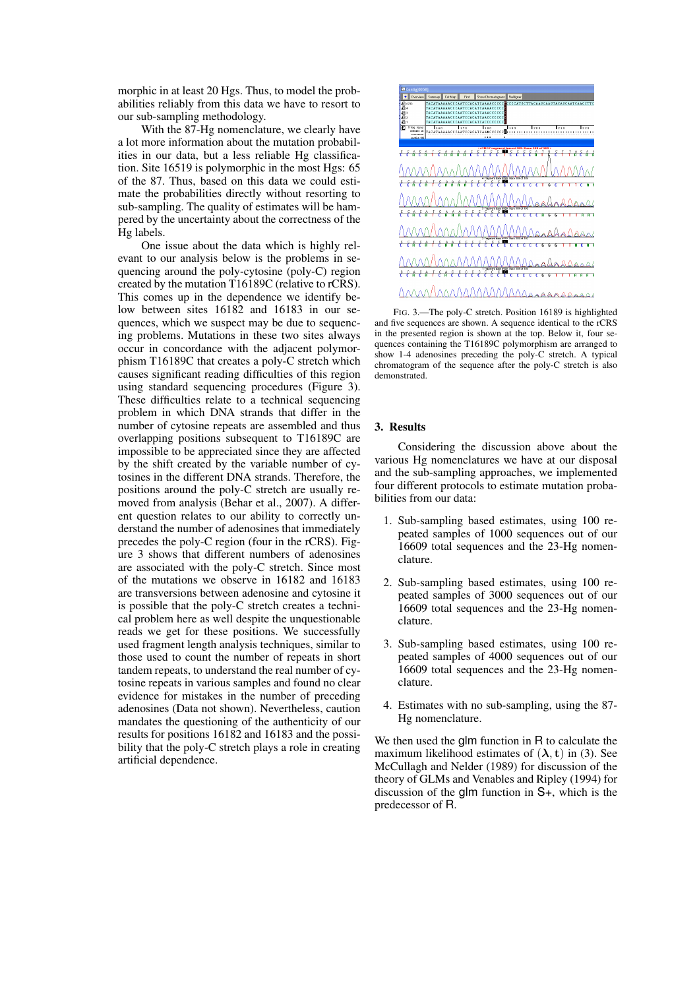morphic in at least 20 Hgs. Thus, to model the probabilities reliably from this data we have to resort to our sub-sampling methodology.

With the 87-Hg nomenclature, we clearly have a lot more information about the mutation probabilities in our data, but a less reliable Hg classification. Site 16519 is polymorphic in the most Hgs: 65 of the 87. Thus, based on this data we could estimate the probabilities directly without resorting to sub-sampling. The quality of estimates will be hampered by the uncertainty about the correctness of the Hg labels.

One issue about the data which is highly relevant to our analysis below is the problems in sequencing around the poly-cytosine (poly-C) region created by the mutation T16189C (relative to rCRS). This comes up in the dependence we identify below between sites 16182 and 16183 in our sequences, which we suspect may be due to sequencing problems. Mutations in these two sites always occur in concordance with the adjacent polymorphism T16189C that creates a poly-C stretch which causes significant reading difficulties of this region using standard sequencing procedures (Figure 3). These difficulties relate to a technical sequencing problem in which DNA strands that differ in the number of cytosine repeats are assembled and thus overlapping positions subsequent to T16189C are impossible to be appreciated since they are affected by the shift created by the variable number of cytosines in the different DNA strands. Therefore, the positions around the poly-C stretch are usually removed from analysis (Behar et al., 2007). A different question relates to our ability to correctly understand the number of adenosines that immediately precedes the poly-C region (four in the rCRS). Figure 3 shows that different numbers of adenosines are associated with the poly-C stretch. Since most of the mutations we observe in 16182 and 16183 are transversions between adenosine and cytosine it is possible that the poly-C stretch creates a technical problem here as well despite the unquestionable reads we get for these positions. We successfully used fragment length analysis techniques, similar to those used to count the number of repeats in short tandem repeats, to understand the real number of cytosine repeats in various samples and found no clear evidence for mistakes in the number of preceding adenosines (Data not shown). Nevertheless, caution mandates the questioning of the authenticity of our results for positions 16182 and 16183 and the possibility that the poly-C stretch plays a role in creating artificial dependence.



FIG. 3.—The poly-C stretch. Position 16189 is highlighted and five sequences are shown. A sequence identical to the rCRS in the presented region is shown at the top. Below it, four sequences containing the T16189C polymorphism are arranged to show 1-4 adenosines preceding the poly-C stretch. A typical chromatogram of the sequence after the poly-C stretch is also demonstrated.

### 3. Results

Considering the discussion above about the various Hg nomenclatures we have at our disposal and the sub-sampling approaches, we implemented four different protocols to estimate mutation probabilities from our data:

- 1. Sub-sampling based estimates, using 100 repeated samples of 1000 sequences out of our 16609 total sequences and the 23-Hg nomenclature.
- 2. Sub-sampling based estimates, using 100 repeated samples of 3000 sequences out of our 16609 total sequences and the 23-Hg nomenclature.
- 3. Sub-sampling based estimates, using 100 repeated samples of 4000 sequences out of our 16609 total sequences and the 23-Hg nomenclature.
- 4. Estimates with no sub-sampling, using the 87- Hg nomenclature.

We then used the glm function in R to calculate the maximum likelihood estimates of  $(\lambda, t)$  in (3). See McCullagh and Nelder (1989) for discussion of the theory of GLMs and Venables and Ripley (1994) for discussion of the glm function in S+, which is the predecessor of R.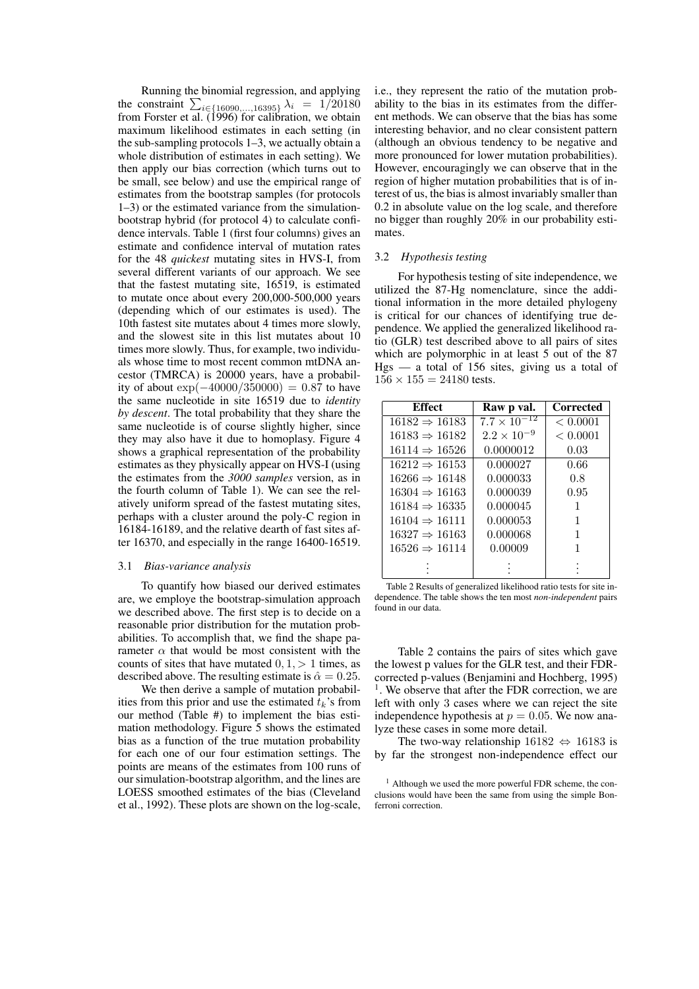Running the binomial regression, and applying Running the binomial regression, and applying<br>the constraint  $\sum_{i \in \{16090,\dots,16395\}} \lambda_i = 1/20180$ from Forster et al. (1996) for calibration, we obtain maximum likelihood estimates in each setting (in the sub-sampling protocols 1–3, we actually obtain a whole distribution of estimates in each setting). We then apply our bias correction (which turns out to be small, see below) and use the empirical range of estimates from the bootstrap samples (for protocols 1–3) or the estimated variance from the simulationbootstrap hybrid (for protocol 4) to calculate confidence intervals. Table 1 (first four columns) gives an estimate and confidence interval of mutation rates for the 48 *quickest* mutating sites in HVS-I, from several different variants of our approach. We see that the fastest mutating site, 16519, is estimated to mutate once about every 200,000-500,000 years (depending which of our estimates is used). The 10th fastest site mutates about 4 times more slowly, and the slowest site in this list mutates about 10 times more slowly. Thus, for example, two individuals whose time to most recent common mtDNA ancestor (TMRCA) is 20000 years, have a probability of about  $\exp(-40000/350000) = 0.87$  to have the same nucleotide in site 16519 due to *identity by descent*. The total probability that they share the same nucleotide is of course slightly higher, since they may also have it due to homoplasy. Figure 4 shows a graphical representation of the probability estimates as they physically appear on HVS-I (using the estimates from the *3000 samples* version, as in the fourth column of Table 1). We can see the relatively uniform spread of the fastest mutating sites, perhaps with a cluster around the poly-C region in 16184-16189, and the relative dearth of fast sites after 16370, and especially in the range 16400-16519.

#### 3.1 *Bias-variance analysis*

To quantify how biased our derived estimates are, we employe the bootstrap-simulation approach we described above. The first step is to decide on a reasonable prior distribution for the mutation probabilities. To accomplish that, we find the shape parameter  $\alpha$  that would be most consistent with the counts of sites that have mutated  $0, 1, > 1$  times, as described above. The resulting estimate is  $\hat{\alpha} = 0.25$ .

We then derive a sample of mutation probabilities from this prior and use the estimated  $t_k$ 's from our method (Table #) to implement the bias estimation methodology. Figure 5 shows the estimated bias as a function of the true mutation probability for each one of our four estimation settings. The points are means of the estimates from 100 runs of our simulation-bootstrap algorithm, and the lines are LOESS smoothed estimates of the bias (Cleveland et al., 1992). These plots are shown on the log-scale, i.e., they represent the ratio of the mutation probability to the bias in its estimates from the different methods. We can observe that the bias has some interesting behavior, and no clear consistent pattern (although an obvious tendency to be negative and more pronounced for lower mutation probabilities). However, encouragingly we can observe that in the region of higher mutation probabilities that is of interest of us, the bias is almost invariably smaller than 0.2 in absolute value on the log scale, and therefore no bigger than roughly 20% in our probability estimates.

# 3.2 *Hypothesis testing*

For hypothesis testing of site independence, we utilized the 87-Hg nomenclature, since the additional information in the more detailed phylogeny is critical for our chances of identifying true dependence. We applied the generalized likelihood ratio (GLR) test described above to all pairs of sites which are polymorphic in at least 5 out of the 87  $Hgs$  — a total of 156 sites, giving us a total of  $156 \times 155 = 24180$  tests.

| <b>Effect</b>             | Raw p val.            | Corrected |
|---------------------------|-----------------------|-----------|
| $16182 \Rightarrow 16183$ | $7.7 \times 10^{-12}$ | < 0.0001  |
| $16183 \Rightarrow 16182$ | $2.2 \times 10^{-9}$  | < 0.0001  |
| $16114 \Rightarrow 16526$ | 0.0000012             | 0.03      |
| $16212 \Rightarrow 16153$ | 0.000027              | 0.66      |
| $16266 \Rightarrow 16148$ | 0.000033              | 0.8       |
| $16304 \Rightarrow 16163$ | 0.000039              | 0.95      |
| $16184 \Rightarrow 16335$ | 0.000045              | 1         |
| $16104 \Rightarrow 16111$ | 0.000053              | 1         |
| $16327 \Rightarrow 16163$ | 0.000068              | 1         |
| $16526 \Rightarrow 16114$ | 0.00009               |           |
|                           |                       |           |

Table 2 Results of generalized likelihood ratio tests for site independence. The table shows the ten most *non-independent* pairs found in our data.

Table 2 contains the pairs of sites which gave the lowest p values for the GLR test, and their FDRcorrected p-values (Benjamini and Hochberg, 1995) <sup>1</sup>. We observe that after the FDR correction, we are left with only 3 cases where we can reject the site independence hypothesis at  $p = 0.05$ . We now analyze these cases in some more detail.

The two-way relationship  $16182 \Leftrightarrow 16183$  is by far the strongest non-independence effect our

 $<sup>1</sup>$  Although we used the more powerful FDR scheme, the con-</sup> clusions would have been the same from using the simple Bonferroni correction.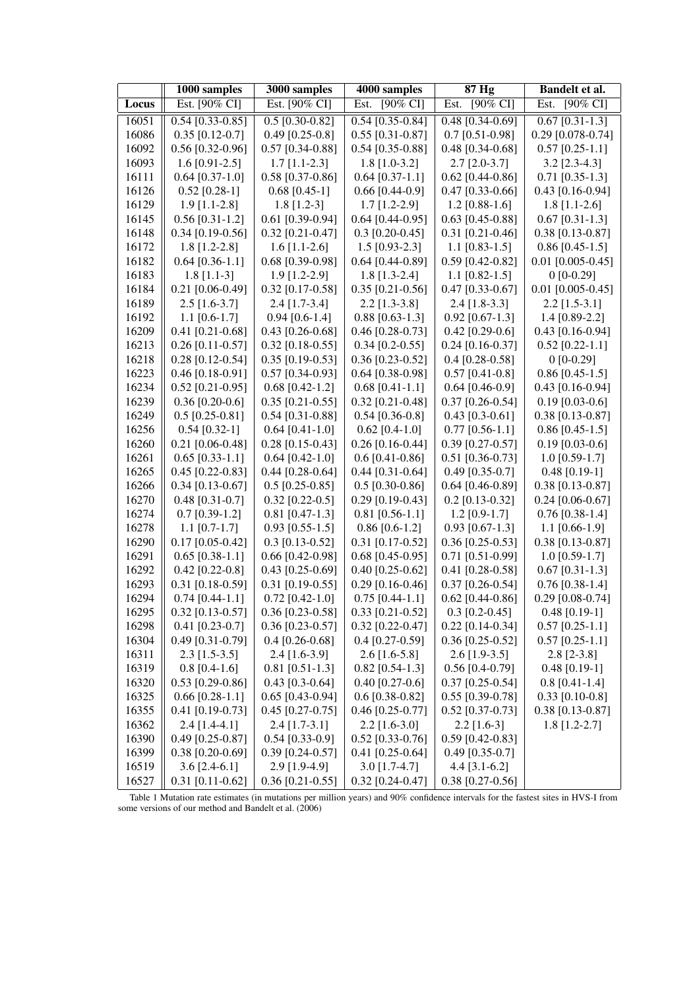|       | 1000 samples       | 3000 samples        | 4000 samples        | 87 Hg                       | Bandelt et al.      |
|-------|--------------------|---------------------|---------------------|-----------------------------|---------------------|
| Locus | Est. [90% CI]      | Est. [90% CI]       | $[90\%$ CI]<br>Est. | $[90\% \text{ CI}]$<br>Est. | $[90\%$ CI]<br>Est. |
| 16051 | $0.54$ [0.33-0.85] | $0.5$ [0.30-0.82]   | $0.54$ [0.35-0.84]  | $0.48$ [0.34-0.69]          | $0.67$ [0.31-1.3]   |
| 16086 | $0.35$ [0.12-0.7]  | $0.49$ [0.25-0.8]   | $0.55$ [0.31-0.87]  | $0.7$ [0.51-0.98]           | $0.29$ [0.078-0.74] |
| 16092 | $0.56$ [0.32-0.96] | $0.57$ [0.34-0.88]  | $0.54$ [0.35-0.88]  | $0.48$ [0.34-0.68]          | $0.57$ [0.25-1.1]   |
| 16093 | $1.6$ [0.91-2.5]   | $1.7$ [1.1-2.3]     | $1.8$ [1.0-3.2]     | $2.7$ [2.0-3.7]             | $3.2$ [2.3-4.3]     |
| 16111 | $0.64$ [0.37-1.0]  | $0.58$ [0.37-0.86]  | $0.64$ [0.37-1.1]   | $0.62$ [0.44-0.86]          | $0.71$ [0.35-1.3]   |
| 16126 | $0.52$ [0.28-1]    | $0.68$ [0.45-1]     | $0.66$ [0.44-0.9]   | $0.47$ [0.33-0.66]          | $0.43$ [0.16-0.94]  |
| 16129 | $1.9$ [1.1-2.8]    | $1.8$ [1.2-3]       | $1.7$ [1.2-2.9]     | $1.2$ [0.88-1.6]            | $1.8$ [1.1-2.6]     |
| 16145 | $0.56$ [0.31-1.2]  | $0.61$ [0.39-0.94]  | $0.64$ [0.44-0.95]  | $0.63$ [0.45-0.88]          | $0.67$ [0.31-1.3]   |
| 16148 | $0.34$ [0.19-0.56] | $0.32$ [0.21-0.47]  | $0.3$ [0.20-0.45]   | $0.31$ [0.21-0.46]          | $0.38$ [0.13-0.87]  |
| 16172 | $1.8$ [1.2-2.8]    | $1.6$ [1.1-2.6]     | $1.5$ [0.93-2.3]    | $1.1$ [0.83-1.5]            | $0.86$ [0.45-1.5]   |
| 16182 | $0.64$ [0.36-1.1]  | $0.68$ [0.39-0.98]  | $0.64$ [0.44-0.89]  | $0.59$ [0.42-0.82]          | $0.01$ [0.005-0.45] |
| 16183 | $1.8$ [1.1-3]      | $1.9$ [1.2-2.9]     | $1.8$ [1.3-2.4]     | 1.1 $[0.82 - 1.5]$          | $0$ [0-0.29]        |
| 16184 | $0.21$ [0.06-0.49] | $0.32$ [0.17-0.58]  | $0.35$ [0.21-0.56]  | $0.47$ [0.33-0.67]          | $0.01$ [0.005-0.45] |
| 16189 | $2.5$ [1.6-3.7]    | $2.4$ [1.7-3.4]     | $2.2$ [1.3-3.8]     | $2.4$ [1.8-3.3]             | $2.2$ [1.5-3.1]     |
| 16192 | $1.1$ [0.6-1.7]    | $0.94$ [0.6-1.4]    | $0.88$ [0.63-1.3]   | $0.92$ [0.67-1.3]           | 1.4 $[0.89-2.2]$    |
| 16209 | $0.41$ [0.21-0.68] | $0.43$ [0.26-0.68]  | $0.46$ [0.28-0.73]  | $0.42$ [0.29-0.6]           | $0.43$ [0.16-0.94]  |
| 16213 | $0.26$ [0.11-0.57] | $0.32$ [0.18-0.55]  | $0.34$ [0.2-0.55]   | $0.24$ [0.16-0.37]          | $0.52$ [0.22-1.1]   |
| 16218 | $0.28$ [0.12-0.54] | $0.35$ [0.19-0.53]  | $0.36$ [0.23-0.52]  | $0.4$ [0.28-0.58]           | $0$ [0-0.29]        |
| 16223 | $0.46$ [0.18-0.91] | $0.57$ [0.34-0.93]  | $0.64$ [0.38-0.98]  | $0.57$ [0.41-0.8]           | $0.86$ [0.45-1.5]   |
| 16234 | $0.52$ [0.21-0.95] | $0.68$ [0.42-1.2]   | $0.68$ [0.41-1.1]   | $0.64$ [0.46-0.9]           | $0.43$ [0.16-0.94]  |
| 16239 | $0.36$ [0.20-0.6]  | $0.35$ [0.21-0.55]  | $0.32$ [0.21-0.48]  | $0.37$ [0.26-0.54]          | $0.19$ [0.03-0.6]   |
| 16249 | $0.5$ [0.25-0.81]  | $0.54$ [0.31-0.88]  | $0.54$ [0.36-0.8]   | $0.43$ [0.3-0.61]           | 0.38 [0.13-0.87]    |
| 16256 | $0.54$ [0.32-1]    | $0.64$ [0.41-1.0]   | $0.62$ [0.4-1.0]    | $0.77$ [0.56-1.1]           | $0.86$ [0.45-1.5]   |
| 16260 | $0.21$ [0.06-0.48] | $0.28$ [0.15-0.43]  | $0.26$ [0.16-0.44]  | $0.39$ [0.27-0.57]          | $0.19$ [0.03-0.6]   |
| 16261 | $0.65$ [0.33-1.1]  | $0.64$ [0.42-1.0]   | $0.6$ [0.41-0.86]   | $0.51$ [0.36-0.73]          | $1.0$ [0.59-1.7]    |
| 16265 | $0.45$ [0.22-0.83] | $0.44$ [0.28-0.64]  | $0.44$ [0.31-0.64]  | $0.49$ [0.35-0.7]           | $0.48$ [0.19-1]     |
| 16266 | $0.34$ [0.13-0.67] | $0.5$ [0.25-0.85]   | $0.5$ [0.30-0.86]   | $0.64$ [0.46-0.89]          | $0.38$ [0.13-0.87]  |
| 16270 | $0.48$ [0.31-0.7]  | $0.32$ [0.22-0.5]   | $0.29$ [0.19-0.43]  | $0.2$ [0.13-0.32]           | $0.24$ [0.06-0.67]  |
| 16274 | $0.7$ [0.39-1.2]   | $0.81$ [0.47-1.3]   | $0.81$ [0.56-1.1]   | $1.2$ [0.9-1.7]             | $0.76$ [0.38-1.4]   |
| 16278 | $1.1$ [0.7-1.7]    | $0.93$ [0.55-1.5]   | $0.86$ [0.6-1.2]    | $0.93$ [0.67-1.3]           | $1.1$ [0.66-1.9]    |
| 16290 | $0.17$ [0.05-0.42] | $0.3$ [0.13-0.52]   | $0.31$ [0.17-0.52]  | $0.36$ [0.25-0.53]          | 0.38 [0.13-0.87]    |
| 16291 | $0.65$ [0.38-1.1]  | $0.66$ [0.42-0.98]  | $0.68$ [0.45-0.95]  | $0.71$ [0.51-0.99]          | $1.0$ [0.59-1.7]    |
| 16292 | $0.42$ [0.22-0.8]  | $0.43$ [0.25-0.69]  | $0.40$ [0.25-0.62]  | $0.41$ [0.28-0.58]          | $0.67$ [0.31-1.3]   |
| 16293 | $0.31$ [0.18-0.59] | $0.31$ [0.19-0.55]  | $0.29$ [0.16-0.46]  | $0.37$ [0.26-0.54]          | $0.76$ [0.38-1.4]   |
| 16294 | $0.74$ [0.44-1.1]  | $0.72$ [0.42-1.0]   | $0.75$ [0.44-1.1]   | $0.62$ [0.44-0.86]          | $0.29$ [0.08-0.74]  |
| 16295 | $0.32$ [0.13-0.57] | $0.36$ [0.23-0.58]  | $0.33$ [0.21-0.52]  | $0.3$ [0.2-0.45]            | $0.48$ [0.19-1]     |
| 16298 | $0.41$ [0.23-0.7]  | $0.36$ [0.23-0.57]  | $0.32$ [0.22-0.47]  | $0.22$ [0.14-0.34]          | $0.57$ [0.25-1.1]   |
| 16304 | $0.49$ [0.31-0.79] | $0.4 [0.26 - 0.68]$ | $0.4$ [0.27-0.59]   | $0.36$ [0.25-0.52]          | $0.57$ [0.25-1.1]   |
| 16311 | $2.3$ [1.5-3.5]    | 2.4 [1.6-3.9]       | $2.6$ [1.6-5.8]     | $2.6$ [1.9-3.5]             | $2.8$ [2-3.8]       |
| 16319 | $0.8$ [0.4-1.6]    | $0.81$ [0.51-1.3]   | $0.82$ [0.54-1.3]   | $0.56$ [0.4-0.79]           | $0.48$ [0.19-1]     |
| 16320 | $0.53$ [0.29-0.86] | $0.43$ [0.3-0.64]   | $0.40$ [0.27-0.6]   | $0.37$ [0.25-0.54]          | $0.8$ [0.41-1.4]    |
| 16325 | $0.66$ [0.28-1.1]  | $0.65$ [0.43-0.94]  | $0.6$ [0.38-0.82]   | $0.55$ [0.39-0.78]          | $0.33$ [0.10-0.8]   |
| 16355 | $0.41$ [0.19-0.73] | $0.45$ [0.27-0.75]  | $0.46$ [0.25-0.77]  | $0.52$ [0.37-0.73]          | $0.38$ [0.13-0.87]  |
| 16362 | $2.4$ [1.4-4.1]    | $2.4$ [1.7-3.1]     | $2.2$ [1.6-3.0]     | $2.2$ [1.6-3]               | $1.8$ [1.2-2.7]     |
| 16390 | $0.49$ [0.25-0.87] | $0.54$ [0.33-0.9]   | $0.52$ [0.33-0.76]  | $0.59$ [0.42-0.83]          |                     |
| 16399 | $0.38$ [0.20-0.69] | $0.39$ [0.24-0.57]  | $0.41$ [0.25-0.64]  | $0.49$ [0.35-0.7]           |                     |
| 16519 | $3.6$ [2.4-6.1]    | 2.9 [1.9-4.9]       | $3.0$ [1.7-4.7]     | 4.4 $[3.1 - 6.2]$           |                     |
| 16527 | $0.31$ [0.11-0.62] | $0.36$ [0.21-0.55]  | $0.32$ [0.24-0.47]  | $0.38$ [0.27-0.56]          |                     |

Table 1 Mutation rate estimates (in mutations per million years) and 90% confidence intervals for the fastest sites in HVS-I from some versions of our method and Bandelt et al. (2006)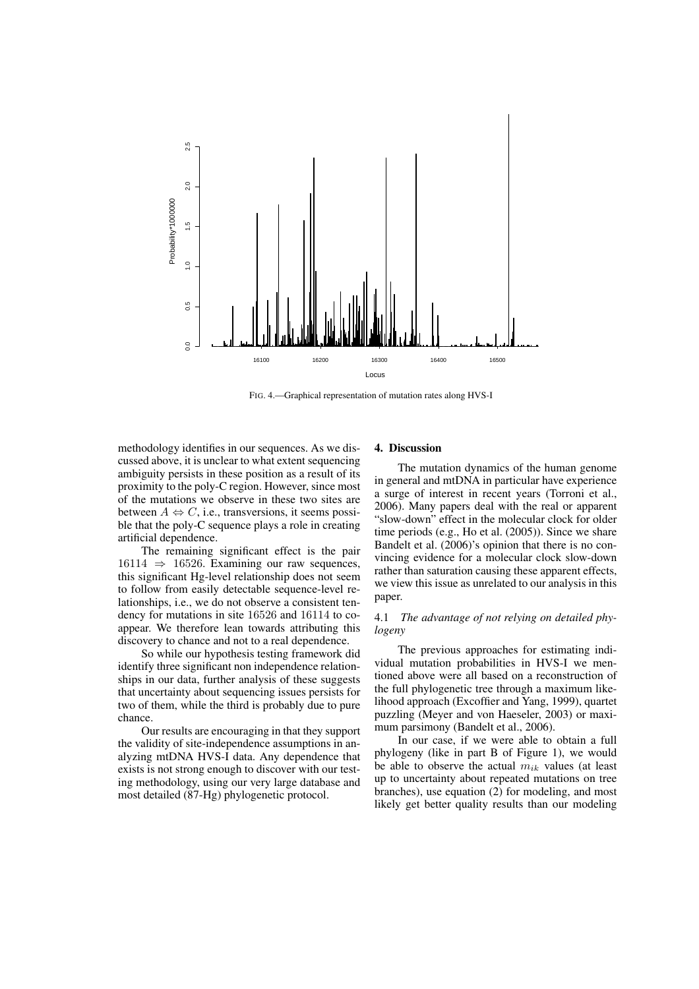

FIG. 4.—Graphical representation of mutation rates along HVS-I

methodology identifies in our sequences. As we discussed above, it is unclear to what extent sequencing ambiguity persists in these position as a result of its proximity to the poly-C region. However, since most of the mutations we observe in these two sites are between  $A \Leftrightarrow C$ , i.e., transversions, it seems possible that the poly-C sequence plays a role in creating artificial dependence.

The remaining significant effect is the pair  $16114 \Rightarrow 16526$ . Examining our raw sequences, this significant Hg-level relationship does not seem to follow from easily detectable sequence-level relationships, i.e., we do not observe a consistent tendency for mutations in site 16526 and 16114 to coappear. We therefore lean towards attributing this discovery to chance and not to a real dependence.

So while our hypothesis testing framework did identify three significant non independence relationships in our data, further analysis of these suggests that uncertainty about sequencing issues persists for two of them, while the third is probably due to pure chance.

Our results are encouraging in that they support the validity of site-independence assumptions in analyzing mtDNA HVS-I data. Any dependence that exists is not strong enough to discover with our testing methodology, using our very large database and most detailed (87-Hg) phylogenetic protocol.

# 4. Discussion

The mutation dynamics of the human genome in general and mtDNA in particular have experience a surge of interest in recent years (Torroni et al., 2006). Many papers deal with the real or apparent "slow-down" effect in the molecular clock for older time periods (e.g., Ho et al. (2005)). Since we share Bandelt et al. (2006)'s opinion that there is no convincing evidence for a molecular clock slow-down rather than saturation causing these apparent effects, we view this issue as unrelated to our analysis in this paper.

# 4.1 *The advantage of not relying on detailed phylogeny*

The previous approaches for estimating individual mutation probabilities in HVS-I we mentioned above were all based on a reconstruction of the full phylogenetic tree through a maximum likelihood approach (Excoffier and Yang, 1999), quartet puzzling (Meyer and von Haeseler, 2003) or maximum parsimony (Bandelt et al., 2006).

In our case, if we were able to obtain a full phylogeny (like in part B of Figure 1), we would be able to observe the actual  $m_{ik}$  values (at least up to uncertainty about repeated mutations on tree branches), use equation (2) for modeling, and most likely get better quality results than our modeling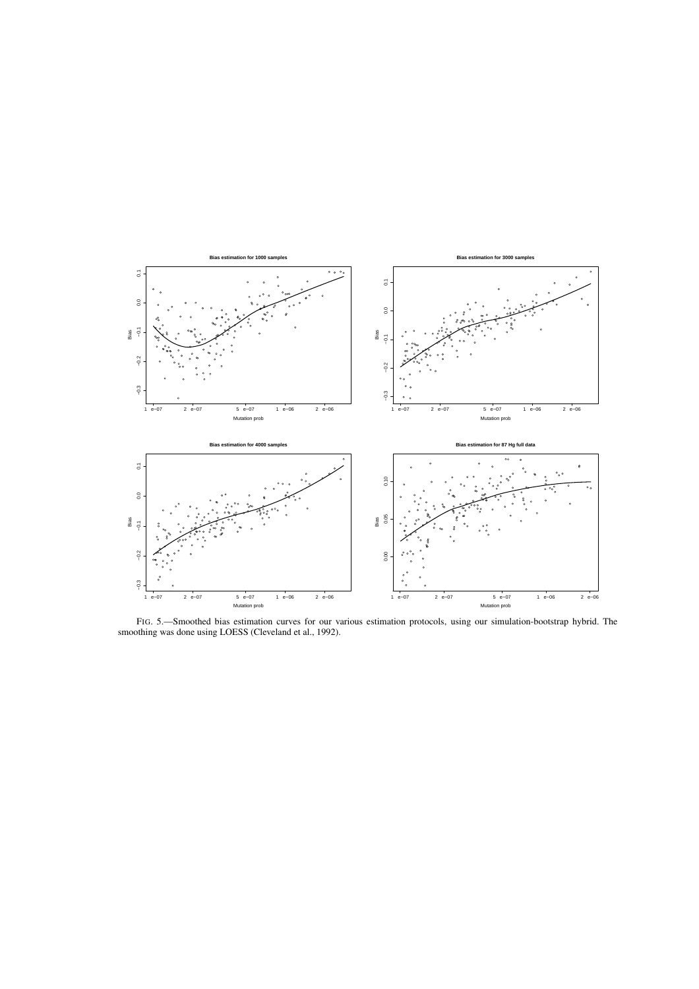

FIG. 5.—Smoothed bias estimation curves for our various estimation protocols, using our simulation-bootstrap hybrid. The smoothing was done using LOESS (Cleveland et al., 1992).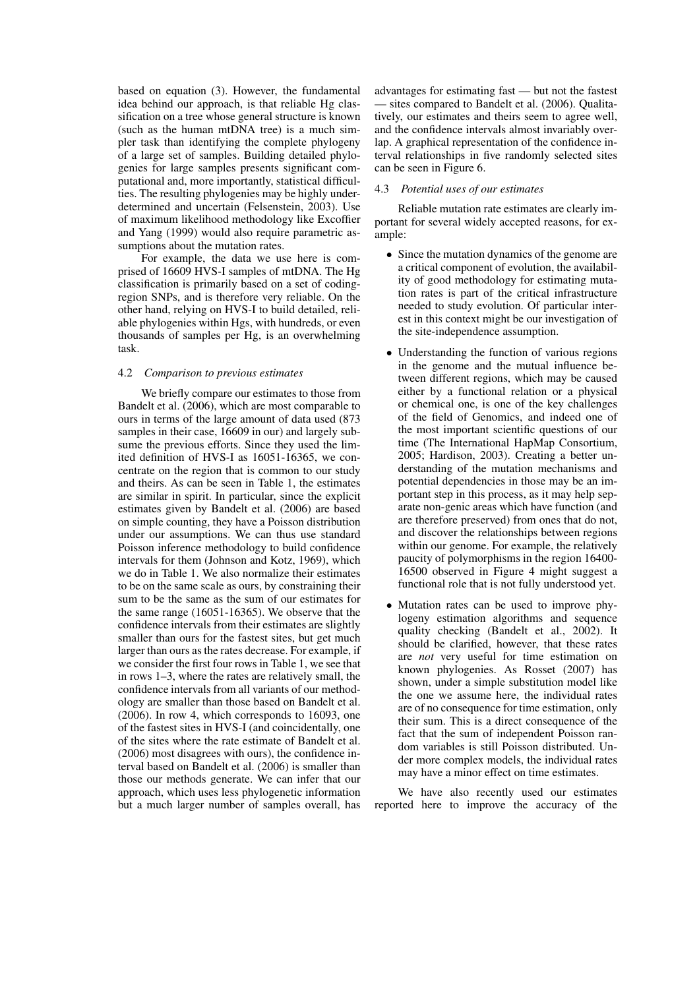based on equation (3). However, the fundamental idea behind our approach, is that reliable Hg classification on a tree whose general structure is known (such as the human mtDNA tree) is a much simpler task than identifying the complete phylogeny of a large set of samples. Building detailed phylogenies for large samples presents significant computational and, more importantly, statistical difficulties. The resulting phylogenies may be highly underdetermined and uncertain (Felsenstein, 2003). Use of maximum likelihood methodology like Excoffier and Yang (1999) would also require parametric assumptions about the mutation rates.

For example, the data we use here is comprised of 16609 HVS-I samples of mtDNA. The Hg classification is primarily based on a set of codingregion SNPs, and is therefore very reliable. On the other hand, relying on HVS-I to build detailed, reliable phylogenies within Hgs, with hundreds, or even thousands of samples per Hg, is an overwhelming task.

### 4.2 *Comparison to previous estimates*

We briefly compare our estimates to those from Bandelt et al. (2006), which are most comparable to ours in terms of the large amount of data used (873 samples in their case, 16609 in our) and largely subsume the previous efforts. Since they used the limited definition of HVS-I as 16051-16365, we concentrate on the region that is common to our study and theirs. As can be seen in Table 1, the estimates are similar in spirit. In particular, since the explicit estimates given by Bandelt et al. (2006) are based on simple counting, they have a Poisson distribution under our assumptions. We can thus use standard Poisson inference methodology to build confidence intervals for them (Johnson and Kotz, 1969), which we do in Table 1. We also normalize their estimates to be on the same scale as ours, by constraining their sum to be the same as the sum of our estimates for the same range (16051-16365). We observe that the confidence intervals from their estimates are slightly smaller than ours for the fastest sites, but get much larger than ours as the rates decrease. For example, if we consider the first four rows in Table 1, we see that in rows 1–3, where the rates are relatively small, the confidence intervals from all variants of our methodology are smaller than those based on Bandelt et al. (2006). In row 4, which corresponds to 16093, one of the fastest sites in HVS-I (and coincidentally, one of the sites where the rate estimate of Bandelt et al. (2006) most disagrees with ours), the confidence interval based on Bandelt et al. (2006) is smaller than those our methods generate. We can infer that our approach, which uses less phylogenetic information but a much larger number of samples overall, has

advantages for estimating fast — but not the fastest — sites compared to Bandelt et al. (2006). Qualitatively, our estimates and theirs seem to agree well, and the confidence intervals almost invariably overlap. A graphical representation of the confidence interval relationships in five randomly selected sites can be seen in Figure 6.

## 4.3 *Potential uses of our estimates*

Reliable mutation rate estimates are clearly important for several widely accepted reasons, for example:

- Since the mutation dynamics of the genome are a critical component of evolution, the availability of good methodology for estimating mutation rates is part of the critical infrastructure needed to study evolution. Of particular interest in this context might be our investigation of the site-independence assumption.
- Understanding the function of various regions in the genome and the mutual influence between different regions, which may be caused either by a functional relation or a physical or chemical one, is one of the key challenges of the field of Genomics, and indeed one of the most important scientific questions of our time (The International HapMap Consortium, 2005; Hardison, 2003). Creating a better understanding of the mutation mechanisms and potential dependencies in those may be an important step in this process, as it may help separate non-genic areas which have function (and are therefore preserved) from ones that do not, and discover the relationships between regions within our genome. For example, the relatively paucity of polymorphisms in the region 16400- 16500 observed in Figure 4 might suggest a functional role that is not fully understood yet.
- Mutation rates can be used to improve phylogeny estimation algorithms and sequence quality checking (Bandelt et al., 2002). It should be clarified, however, that these rates are *not* very useful for time estimation on known phylogenies. As Rosset (2007) has shown, under a simple substitution model like the one we assume here, the individual rates are of no consequence for time estimation, only their sum. This is a direct consequence of the fact that the sum of independent Poisson random variables is still Poisson distributed. Under more complex models, the individual rates may have a minor effect on time estimates.

We have also recently used our estimates reported here to improve the accuracy of the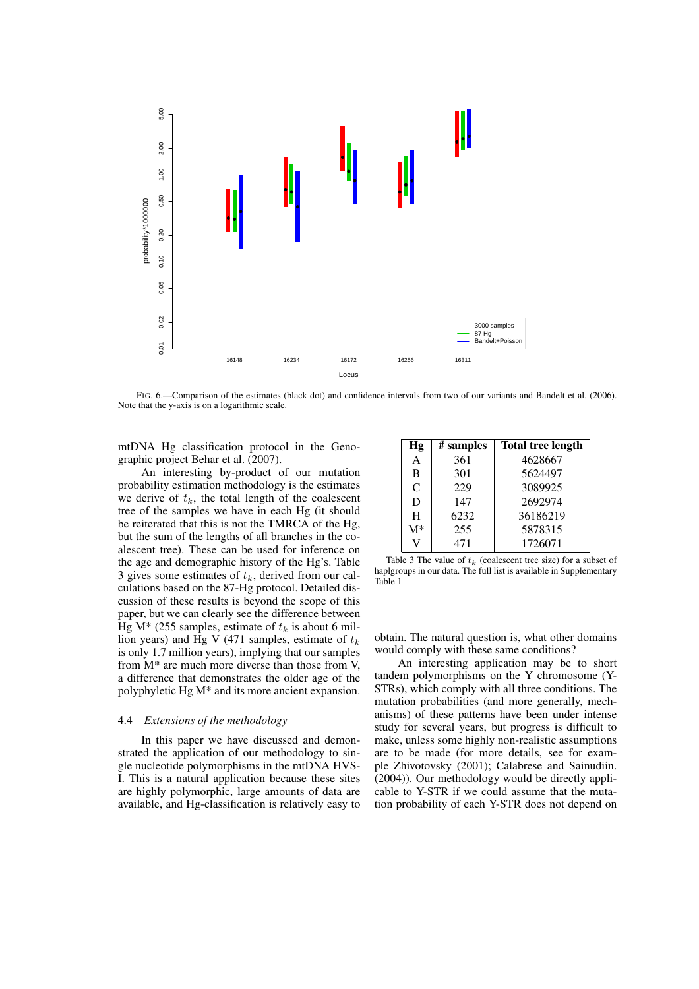

FIG. 6.—Comparison of the estimates (black dot) and confidence intervals from two of our variants and Bandelt et al. (2006). Note that the y-axis is on a logarithmic scale.

mtDNA Hg classification protocol in the Genographic project Behar et al. (2007).

An interesting by-product of our mutation probability estimation methodology is the estimates we derive of  $t_k$ , the total length of the coalescent tree of the samples we have in each Hg (it should be reiterated that this is not the TMRCA of the Hg, but the sum of the lengths of all branches in the coalescent tree). These can be used for inference on the age and demographic history of the Hg's. Table 3 gives some estimates of  $t_k$ , derived from our calculations based on the 87-Hg protocol. Detailed discussion of these results is beyond the scope of this paper, but we can clearly see the difference between Hg M\* (255 samples, estimate of  $t_k$  is about 6 million years) and Hg V (471 samples, estimate of  $t_k$ is only 1.7 million years), implying that our samples from M\* are much more diverse than those from V, a difference that demonstrates the older age of the polyphyletic Hg M\* and its more ancient expansion.

# 4.4 *Extensions of the methodology*

In this paper we have discussed and demonstrated the application of our methodology to single nucleotide polymorphisms in the mtDNA HVS-I. This is a natural application because these sites are highly polymorphic, large amounts of data are available, and Hg-classification is relatively easy to

| Hg            | # samples | <b>Total tree length</b> |
|---------------|-----------|--------------------------|
| A             | 361       | 4628667                  |
| B             | 301       | 5624497                  |
| $\mathcal{C}$ | 229       | 3089925                  |
| D             | 147       | 2692974                  |
| H             | 6232      | 36186219                 |
| $M^*$         | 255       | 5878315                  |
|               | 471       | 1726071                  |

Table 3 The value of  $t_k$  (coalescent tree size) for a subset of haplgroups in our data. The full list is available in Supplementary Table 1

obtain. The natural question is, what other domains would comply with these same conditions?

An interesting application may be to short tandem polymorphisms on the Y chromosome (Y-STRs), which comply with all three conditions. The mutation probabilities (and more generally, mechanisms) of these patterns have been under intense study for several years, but progress is difficult to make, unless some highly non-realistic assumptions are to be made (for more details, see for example Zhivotovsky (2001); Calabrese and Sainudiin. (2004)). Our methodology would be directly applicable to Y-STR if we could assume that the mutation probability of each Y-STR does not depend on